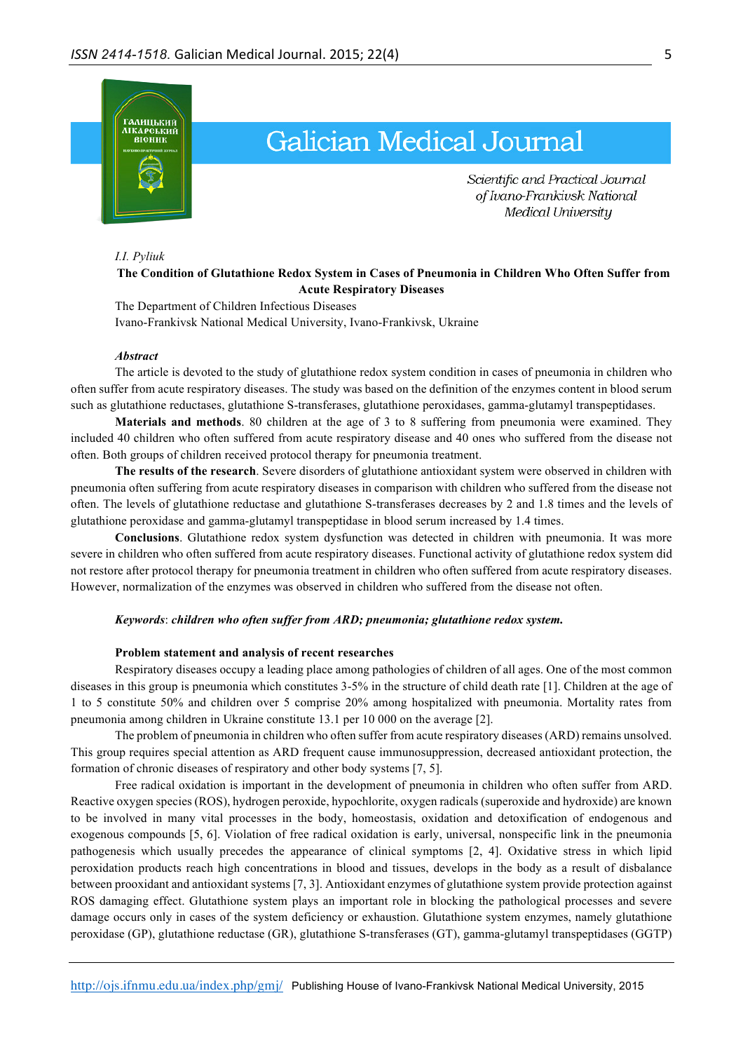

# **Galician Medical Journal**

Scientific and Practical Journal of Ivano-Frankivsk National Medical University

### *I.I. Pyliuk*

# **The Condition of Glutathione Redox System in Cases of Pneumonia in Children Who Often Suffer from Acute Respiratory Diseases**

The Department of Children Infectious Diseases Ivano-Frankivsk National Medical University, Ivano-Frankivsk, Ukraine

#### *Abstract*

The article is devoted to the study of glutathione redox system condition in cases of pneumonia in children who often suffer from acute respiratory diseases. The study was based on the definition of the enzymes content in blood serum such as glutathione reductases, glutathione S-transferases, glutathione peroxidases, gamma-glutamyl transpeptidases.

**Materials and methods**. 80 children at the age of 3 to 8 suffering from pneumonia were examined. They included 40 children who often suffered from acute respiratory disease and 40 ones who suffered from the disease not often. Both groups of children received protocol therapy for pneumonia treatment.

**The results of the research**. Severe disorders of glutathione antioxidant system were observed in children with pneumonia often suffering from acute respiratory diseases in comparison with children who suffered from the disease not often. The levels of glutathione reductase and glutathione S-transferases decreases by 2 and 1.8 times and the levels of glutathione peroxidase and gamma-glutamyl transpeptidase in blood serum increased by 1.4 times.

**Conclusions**. Glutathione redox system dysfunction was detected in children with pneumonia. It was more severe in children who often suffered from acute respiratory diseases. Functional activity of glutathione redox system did not restore after protocol therapy for pneumonia treatment in children who often suffered from acute respiratory diseases. However, normalization of the enzymes was observed in children who suffered from the disease not often.

### *Keywords*: *children who often suffer from ARD; pneumonia; glutathione redox system.*

### **Problem statement and analysis of recent researches**

Respiratory diseases occupy a leading place among pathologies of children of all ages. One of the most common diseases in this group is pneumonia which constitutes 3-5% in the structure of child death rate [1]. Children at the age of 1 to 5 constitute 50% and children over 5 comprise 20% among hospitalized with pneumonia. Mortality rates from pneumonia among children in Ukraine constitute 13.1 per 10 000 on the average [2].

The problem of pneumonia in children who often suffer from acute respiratory diseases (ARD) remains unsolved. This group requires special attention as ARD frequent cause immunosuppression, decreased antioxidant protection, the formation of chronic diseases of respiratory and other body systems [7, 5].

Free radical oxidation is important in the development of pneumonia in children who often suffer from ARD. Reactive oxygen species (ROS), hydrogen peroxide, hypochlorite, oxygen radicals (superoxide and hydroxide) are known to be involved in many vital processes in the body, homeostasis, oxidation and detoxification of endogenous and exogenous compounds [5, 6]. Violation of free radical oxidation is early, universal, nonspecific link in the pneumonia pathogenesis which usually precedes the appearance of clinical symptoms [2, 4]. Oxidative stress in which lipid peroxidation products reach high concentrations in blood and tissues, develops in the body as a result of disbalance between prooxidant and antioxidant systems [7, 3]. Antioxidant enzymes of glutathione system provide protection against ROS damaging effect. Glutathione system plays an important role in blocking the pathological processes and severe damage occurs only in cases of the system deficiency or exhaustion. Glutathione system enzymes, namely glutathione peroxidase (GP), glutathione reductase (GR), glutathione S-transferases (GT), gamma-glutamyl transpeptidases (GGTP)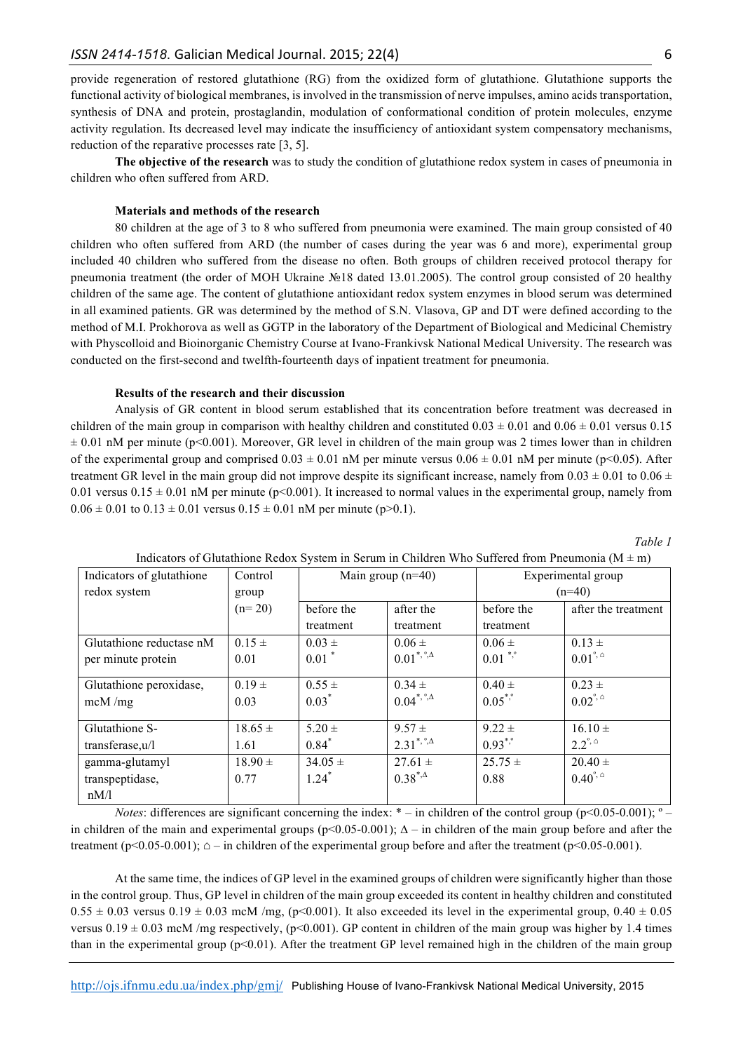provide regeneration of restored glutathione (RG) from the oxidized form of glutathione. Glutathione supports the functional activity of biological membranes, is involved in the transmission of nerve impulses, amino acids transportation, synthesis of DNA and protein, prostaglandin, modulation of conformational condition of protein molecules, enzyme activity regulation. Its decreased level may indicate the insufficiency of antioxidant system compensatory mechanisms, reduction of the reparative processes rate [3, 5].

**The objective of the research** was to study the condition of glutathione redox system in cases of pneumonia in children who often suffered from ARD.

### **Materials and methods of the research**

80 children at the age of 3 to 8 who suffered from pneumonia were examined. The main group consisted of 40 children who often suffered from ARD (the number of cases during the year was 6 and more), experimental group included 40 children who suffered from the disease no often. Both groups of children received protocol therapy for pneumonia treatment (the order of MOH Ukraine №18 dated 13.01.2005). The control group consisted of 20 healthy children of the same age. The content of glutathione antioxidant redox system enzymes in blood serum was determined in all examined patients. GR was determined by the method of S.N. Vlasova, GP and DT were defined according to the method of M.I. Prokhorova as well as GGTP in the laboratory of the Department of Biological and Medicinal Chemistry with Physcolloid and Bioinorganic Chemistry Course at Ivano-Frankivsk National Medical University. The research was conducted on the first-second and twelfth-fourteenth days of inpatient treatment for pneumonia.

## **Results of the research and their discussion**

Analysis of GR content in blood serum established that its concentration before treatment was decreased in children of the main group in comparison with healthy children and constituted  $0.03 \pm 0.01$  and  $0.06 \pm 0.01$  versus 0.15  $\pm$  0.01 nM per minute (p<0.001). Moreover, GR level in children of the main group was 2 times lower than in children of the experimental group and comprised  $0.03 \pm 0.01$  nM per minute versus  $0.06 \pm 0.01$  nM per minute (p<0.05). After treatment GR level in the main group did not improve despite its significant increase, namely from  $0.03 \pm 0.01$  to  $0.06 \pm$ 0.01 versus 0.15  $\pm$  0.01 nM per minute (p<0.001). It increased to normal values in the experimental group, namely from  $0.06 \pm 0.01$  to  $0.13 \pm 0.01$  versus  $0.15 \pm 0.01$  nM per minute (p>0.1).

*Table 1*

| Indicators of glutathione | Control     | Main group $(n=40)$ |                                            | Experimental group    |                           |
|---------------------------|-------------|---------------------|--------------------------------------------|-----------------------|---------------------------|
| redox system              | group       |                     |                                            | $(n=40)$              |                           |
|                           | $(n=20)$    | before the          | after the                                  | before the            | after the treatment       |
|                           |             | treatment           | treatment                                  | treatment             |                           |
| Glutathione reductase nM  | $0.15 \pm$  | $0.03 \pm$          | $0.06 \pm$                                 | $0.06 \pm$            | $0.13 \pm$                |
| per minute protein        | 0.01        | $0.01$ *            | $0.01^{\ast,\degree,\Delta}$               | $0.01$ *,*            | $0.01^{\degree, \degree}$ |
| Glutathione peroxidase,   | $0.19 =$    | $0.55 \pm$          | $0.34 \pm$                                 | $0.40 \pm$            | $0.23 \pm$                |
| mcM/mg                    | 0.03        | $0.03*$             | $0.04$ <sup>*, °,<math>\Delta</math></sup> | $0.05$ <sup>*,*</sup> | $0.02^{\degree, \degree}$ |
| Glutathione S-            | $18.65 \pm$ | $5.20 \pm$          | $9.57 \pm$                                 | $9.22 \pm$            | $16.10 \pm$               |
| transferase, u/l          | 1.61        | $0.84*$             | $2.31^{\ast,\degree,\Delta}$               | $0.93^{*}$            | $2.2^{\degree, \degree}$  |
| gamma-glutamyl            | $18.90 \pm$ | $34.05 \pm$         | $27.61 \pm$                                | $25.75 \pm$           | $20.40 \pm$               |
| transpeptidase,           | 0.77        | $1.24$ <sup>*</sup> | $0.38^{*,\Delta}$                          | 0.88                  | $0.40^{\degree, \degree}$ |
| nM/l                      |             |                     |                                            |                       |                           |

Indicators of Glutathione Redox System in Serum in Children Who Suffered from Pneumonia ( $M \pm m$ )

*Notes*: differences are significant concerning the index:  $* -$  in children of the control group ( $p \le 0.05 - 0.001$ );  $\degree$ in children of the main and experimental groups ( $p<0.05-0.001$ );  $\Delta$  – in children of the main group before and after the treatment ( $p<0.05-0.001$ );  $\Delta$  – in children of the experimental group before and after the treatment ( $p<0.05-0.001$ ).

At the same time, the indices of GP level in the examined groups of children were significantly higher than those in the control group. Thus, GP level in children of the main group exceeded its content in healthy children and constituted  $0.55 \pm 0.03$  versus  $0.19 \pm 0.03$  mcM /mg, (p<0.001). It also exceeded its level in the experimental group,  $0.40 \pm 0.05$ versus  $0.19 \pm 0.03$  mcM /mg respectively, (p<0.001). GP content in children of the main group was higher by 1.4 times than in the experimental group ( $p<0.01$ ). After the treatment GP level remained high in the children of the main group